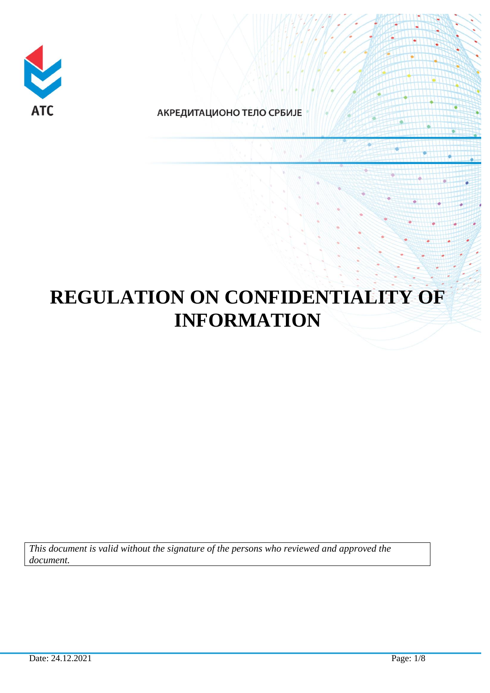

АКРЕДИТАЦИОНО ТЕЛО СРБИЈЕ

# **REGULATION ON CONFIDENTIALITY OF INFORMATION**

*This document is valid without the signature of the persons who reviewed and approved the document.*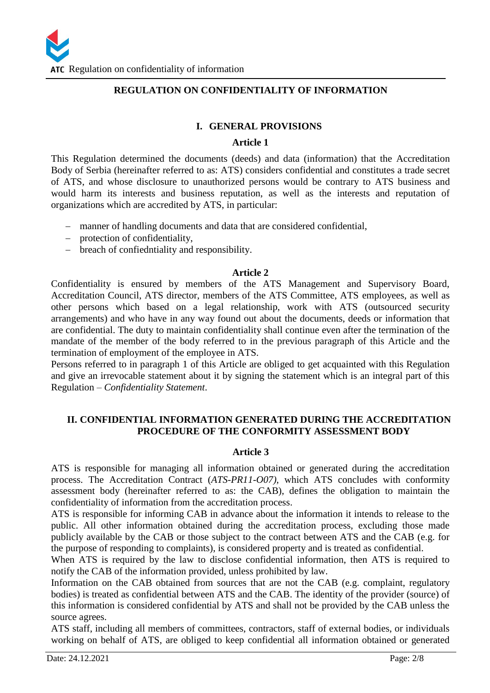#### **REGULATION ON CONFIDENTIALITY OF INFORMATION**

#### **I. GENERAL PROVISIONS**

#### **Article 1**

This Regulation determined the documents (deeds) and data (information) that the Accreditation Body of Serbia (hereinafter referred to as: ATS) considers confidential and constitutes a trade secret of ATS, and whose disclosure to unauthorized persons would be contrary to ATS business and would harm its interests and business reputation, as well as the interests and reputation of organizations which are accredited by ATS, in particular:

- manner of handling documents and data that are considered confidential,
- protection of confidentiality,
- breach of confiedntiality and responsibility.

#### **Article 2**

Confidentiality is ensured by members of the ATS Management and Supervisory Board, Accreditation Council, ATS director, members of the ATS Committee, ATS employees, as well as other persons which based on a legal relationship, work with ATS (outsourced security arrangements) and who have in any way found out about the documents, deeds or information that are confidential. The duty to maintain confidentiality shall continue even after the termination of the mandate of the member of the body referred to in the previous paragraph of this Article and the termination of employment of the employee in ATS.

Persons referred to in paragraph 1 of this Article are obliged to get acquainted with this Regulation and give an irrevocable statement about it by signing the statement which is an integral part of this Regulation – *Confidentiality Statement*.

#### **II. CONFIDENTIAL INFORMATION GENERATED DURING THE ACCREDITATION PROCEDURE OF THE CONFORMITY ASSESSMENT BODY**

#### **Article 3**

ATS is responsible for managing all information obtained or generated during the accreditation process. The Accreditation Contract (*ATS-PR11-O07)*, which ATS concludes with conformity assessment body (hereinafter referred to as: the CAB), defines the obligation to maintain the confidentiality of information from the accreditation process.

ATS is responsible for informing CAB in advance about the information it intends to release to the public. All other information obtained during the accreditation process, excluding those made publicly available by the CAB or those subject to the contract between ATS and the CAB (e.g. for the purpose of responding to complaints), is considered property and is treated as confidential.

When ATS is required by the law to disclose confidential information, then ATS is required to notify the CAB of the information provided, unless prohibited by law.

Information on the CAB obtained from sources that are not the CAB (e.g. complaint, regulatory bodies) is treated as confidential between ATS and the CAB. The identity of the provider (source) of this information is considered confidential by ATS and shall not be provided by the CAB unless the source agrees.

ATS staff, including all members of committees, contractors, staff of external bodies, or individuals working on behalf of ATS, are obliged to keep confidential all information obtained or generated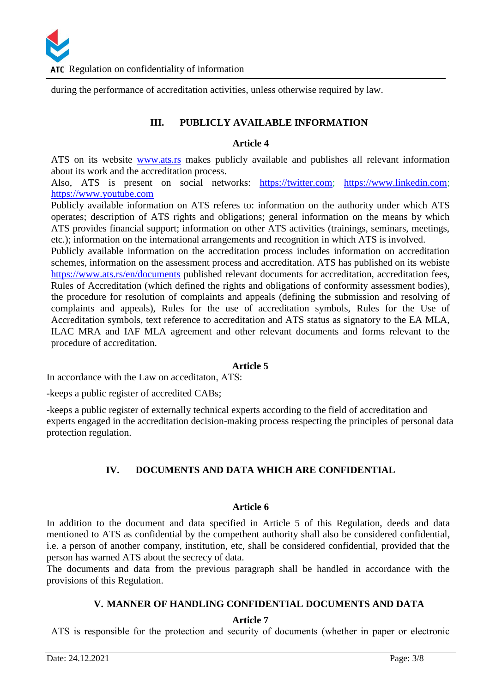during the performance of accreditation activities, unless otherwise required by law.

# **III. PUBLICLY AVAILABLE INFORMATION**

#### **Article 4**

ATS on its website [www.ats.rs](www.ats.rs%20) makes publicly available and publishes all relevant information about its work and the accreditation process.

Also, ATS is present on social networks: [https://twitter.com;](https://twitter.com/ATS_Serbia) [https://www.linkedin.com;](https://www.linkedin.com/) [https://www.youtube.com](https://www.youtube.com/)

Publicly available information on ATS referes to: information on the authority under which ATS operates; description of ATS rights and obligations; general information on the means by which ATS provides financial support; information on other ATS activities (trainings, seminars, meetings, etc.); information on the international arrangements and recognition in which ATS is involved.

Publicly available information on the accreditation process includes information on accreditation schemes, information on the assessment process and accreditation. ATS has published on its webiste <https://www.ats.rs/en/documents> published relevant documents for accreditation, accreditation fees, Rules of Accreditation (which defined the rights and obligations of conformity assessment bodies), the procedure for resolution of complaints and appeals (defining the submission and resolving of complaints and appeals), Rules for the use of accreditation symbols, Rules for the Use of Accreditation symbols, text reference to accreditation and ATS status as signatory to the EA MLA, ILAC MRA and IAF MLA agreement and other relevant documents and forms relevant to the procedure of accreditation.

# **Article 5**

In accordance with the Law on acceditaton, АТS:

-keeps a public register of accredited CABs;

-keeps a public register of externally technical experts according to the field of accreditation and experts engaged in the accreditation decision-making process respecting the principles of personal data protection regulation.

# **IV. DOCUMENTS AND DATA WHICH ARE CONFIDENTIAL**

# **Article 6**

In addition to the document and data specified in Article 5 of this Regulation, deeds and data mentioned to ATS as confidential by the compethent authority shall also be considered confidential, i.e. a person of another company, institution, etc, shall be considered confidential, provided that the person has warned ATS about the secrecy of data.

The documents and data from the previous paragraph shall be handled in accordance with the provisions of this Regulation.

# **V. MANNER OF HANDLING CONFIDENTIAL DOCUMENTS AND DATA**

# **Article 7**

АТS is responsible for the protection and security of documents (whether in paper or electronic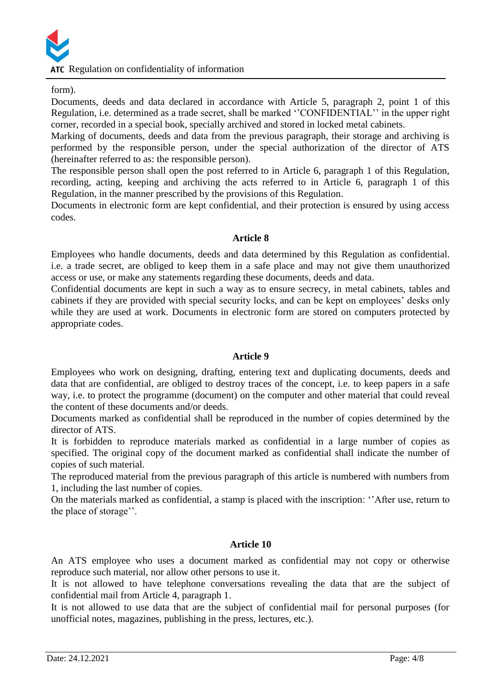form).

Documents, deeds and data declared in accordance with Article 5, paragraph 2, point 1 of this Regulation, i.e. determined as a trade secret, shall be marked ''CONFIDENTIAL'' in the upper right corner, recorded in a special book, specially archived and stored in locked metal cabinets.

Marking of documents, deeds and data from the previous paragraph, their storage and archiving is performed by the responsible person, under the special authorization of the director of ATS (hereinafter referred to as: the responsible person).

The responsible person shall open the post referred to in Article 6, paragraph 1 of this Regulation, recording, acting, keeping and archiving the acts referred to in Article 6, paragraph 1 of this Regulation, in the manner prescribed by the provisions of this Regulation.

Documents in electronic form are kept confidential, and their protection is ensured by using access codes.

#### **Article 8**

Employees who handle documents, deeds and data determined by this Regulation as confidential. i.e. a trade secret, are obliged to keep them in a safe place and may not give them unauthorized access or use, or make any statements regarding these documents, deeds and data.

Confidential documents are kept in such a way as to ensure secrecy, in metal cabinets, tables and cabinets if they are provided with special security locks, and can be kept on employees' desks only while they are used at work. Documents in electronic form are stored on computers protected by appropriate codes.

# **Article 9**

Employees who work on designing, drafting, entering text and duplicating documents, deeds and data that are confidential, are obliged to destroy traces of the concept, i.e. to keep papers in a safe way, i.e. to protect the programme (document) on the computer and other material that could reveal the content of these documents and/or deeds.

Documents marked as confidential shall be reproduced in the number of copies determined by the director of ATS.

It is forbidden to reproduce materials marked as confidential in a large number of copies as specified. The original copy of the document marked as confidential shall indicate the number of copies of such material.

The reproduced material from the previous paragraph of this article is numbered with numbers from 1, including the last number of copies.

On the materials marked as confidential, a stamp is placed with the inscription: ''After use, return to the place of storage''.

# **Article 10**

An ATS employee who uses a document marked as confidential may not copy or otherwise reproduce such material, nor allow other persons to use it.

It is not allowed to have telephone conversations revealing the data that are the subject of confidential mail from Article 4, paragraph 1.

It is not allowed to use data that are the subject of confidential mail for personal purposes (for unofficial notes, magazines, publishing in the press, lectures, etc.).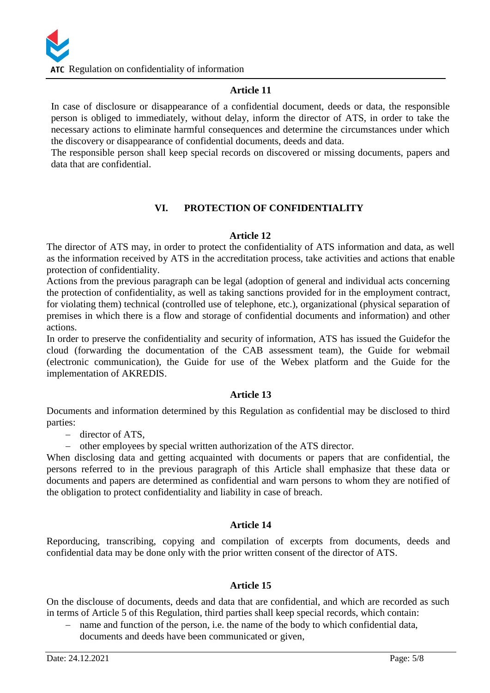# **Article 11**

In case of disclosure or disappearance of a confidential document, deeds or data, the responsible person is obliged to immediately, without delay, inform the director of ATS, in order to take the necessary actions to eliminate harmful consequences and determine the circumstances under which the discovery or disappearance of confidential documents, deeds and data.

The responsible person shall keep special records on discovered or missing documents, papers and data that are confidential.

# **VI. PROTECTION OF CONFIDENTIALITY**

# **Article 12**

The director of ATS may, in order to protect the confidentiality of ATS information and data, as well as the information received by ATS in the accreditation process, take activities and actions that enable protection of confidentiality.

Actions from the previous paragraph can be legal (adoption of general and individual acts concerning the protection of confidentiality, as well as taking sanctions provided for in the employment contract, for violating them) technical (controlled use of telephone, etc.), organizational (physical separation of premises in which there is a flow and storage of confidential documents and information) and other actions.

In order to preserve the confidentiality and security of information, ATS has issued the Guidefor the cloud (forwarding the documentation of the CAB assessment team), the Guide for webmail (electronic communication), the Guide for use of the Webex platform and the Guide for the implementation of AKREDIS.

# **Article 13**

Documents and information determined by this Regulation as confidential may be disclosed to third parties:

- director of ATS.
- other employees by special written authorization of the ATS director.

When disclosing data and getting acquainted with documents or papers that are confidential, the persons referred to in the previous paragraph of this Article shall emphasize that these data or documents and papers are determined as confidential and warn persons to whom they are notified of the obligation to protect confidentiality and liability in case of breach.

# **Article 14**

Reporducing, transcribing, copying and compilation of excerpts from documents, deeds and confidential data may be done only with the prior written consent of the director of ATS.

#### **Article 15**

On the disclouse of documents, deeds and data that are confidential, and which are recorded as such in terms of Article 5 of this Regulation, third parties shall keep special records, which contain:

- name and function of the person, i.e. the name of the body to which confidential data, documents and deeds have been communicated or given,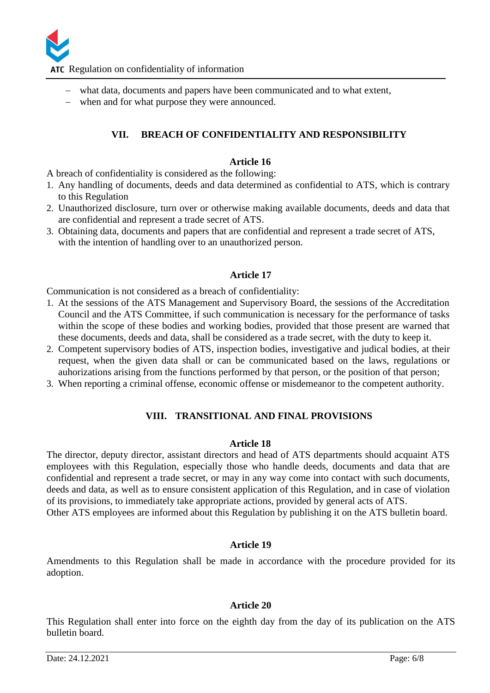

ATC Regulation on confidentiality of information

- what data, documents and papers have been communicated and to what extent,
- when and for what purpose they were announced.

# **VII. BREACH OF CONFIDENTIALITY AND RESPONSIBILITY**

#### **Article 16**

A breach of confidentiality is considered as the following:

- 1. Any handling of documents, deeds and data determined as confidential to ATS, which is contrary to this Regulation
- 2. Unauthorized disclosure, turn over or otherwise making available documents, deeds and data that are confidential and represent a trade secret of ATS.
- 3. Obtaining data, documents and papers that are confidential and represent a trade secret of ATS, with the intention of handling over to an unauthorized person.

#### **Article 17**

Communication is not considered as a breach of confidentiality:

- 1. At the sessions of the ATS Management and Supervisory Board, the sessions of the Accreditation Council and the ATS Committee, if such communication is necessary for the performance of tasks within the scope of these bodies and working bodies, provided that those present are warned that these documents, deeds and data, shall be considered as a trade secret, with the duty to keep it.
- 2. Competent supervisory bodies of ATS, inspection bodies, investigative and judical bodies, at their request, when the given data shall or can be communicated based on the laws, regulations or auhorizations arising from the functions performed by that person, or the position of that person;
- 3. When reporting a criminal offense, economic offense or misdemeanor to the competent authority.

# **VIII. TRANSITIONAL AND FINAL PROVISIONS**

#### **Article 18**

The director, deputy director, assistant directors and head of ATS departments should acquaint ATS employees with this Regulation, especially those who handle deeds, documents and data that are confidential and represent a trade secret, or may in any way come into contact with such documents, deeds and data, as well as to ensure consistent application of this Regulation, and in case of violation of its provisions, to immediately take appropriate actions, provided by general acts of ATS. Other ATS employees are informed about this Regulation by publishing it on the ATS bulletin board.

#### **Article 19**

Amendments to this Regulation shall be made in accordance with the procedure provided for its adoption.

#### **Article 20**

This Regulation shall enter into force on the eighth day from the day of its publication on the ATS bulletin board.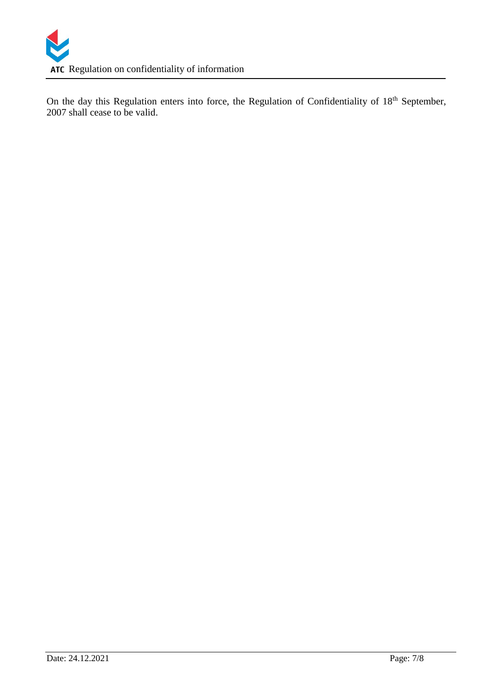On the day this Regulation enters into force, the Regulation of Confidentiality of 18<sup>th</sup> September, 2007 shall cease to be valid.